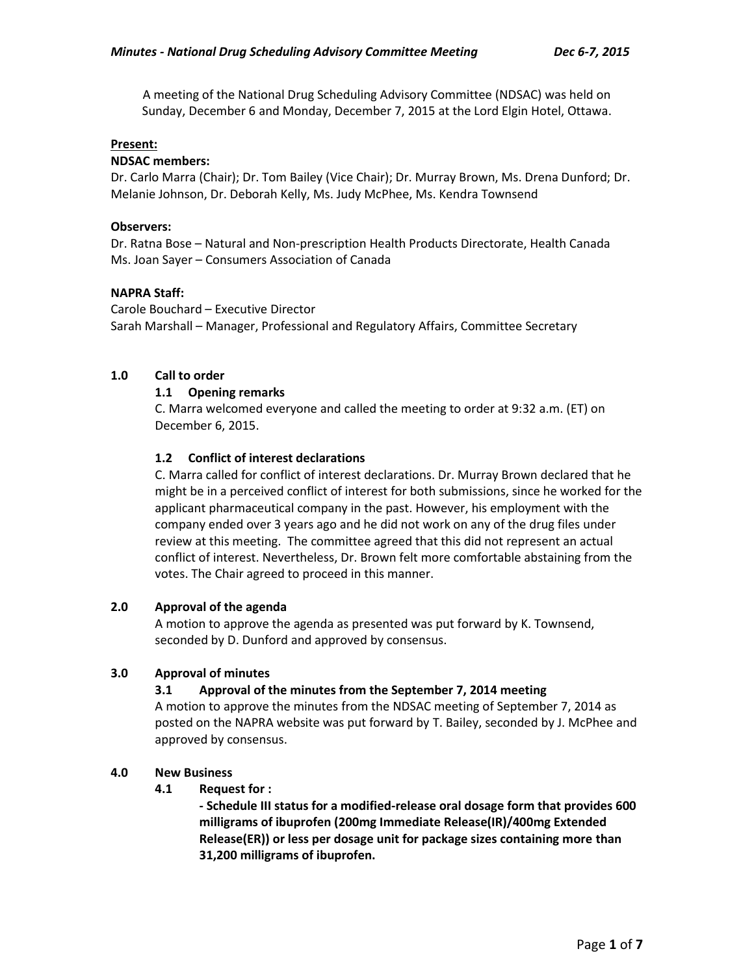A meeting of the National Drug Scheduling Advisory Committee (NDSAC) was held on Sunday, December 6 and Monday, December 7, 2015 at the Lord Elgin Hotel, Ottawa.

### **Present:**

### **NDSAC members:**

Dr. Carlo Marra (Chair); Dr. Tom Bailey (Vice Chair); Dr. Murray Brown, Ms. Drena Dunford; Dr. Melanie Johnson, Dr. Deborah Kelly, Ms. Judy McPhee, Ms. Kendra Townsend

### **Observers:**

Dr. Ratna Bose – Natural and Non-prescription Health Products Directorate, Health Canada Ms. Joan Sayer – Consumers Association of Canada

### **NAPRA Staff:**

Carole Bouchard – Executive Director Sarah Marshall – Manager, Professional and Regulatory Affairs, Committee Secretary

### **1.0 Call to order**

## **1.1 Opening remarks**

C. Marra welcomed everyone and called the meeting to order at 9:32 a.m. (ET) on December 6, 2015.

## **1.2 Conflict of interest declarations**

C. Marra called for conflict of interest declarations. Dr. Murray Brown declared that he might be in a perceived conflict of interest for both submissions, since he worked for the applicant pharmaceutical company in the past. However, his employment with the company ended over 3 years ago and he did not work on any of the drug files under review at this meeting. The committee agreed that this did not represent an actual conflict of interest. Nevertheless, Dr. Brown felt more comfortable abstaining from the votes. The Chair agreed to proceed in this manner.

#### **2.0 Approval of the agenda**

A motion to approve the agenda as presented was put forward by K. Townsend, seconded by D. Dunford and approved by consensus.

#### **3.0 Approval of minutes**

## **3.1 Approval of the minutes from the September 7, 2014 meeting**

A motion to approve the minutes from the NDSAC meeting of September 7, 2014 as posted on the NAPRA website was put forward by T. Bailey, seconded by J. McPhee and approved by consensus.

#### **4.0 New Business**

#### **4.1 Request for :**

**- Schedule III status for a modified-release oral dosage form that provides 600 milligrams of ibuprofen (200mg Immediate Release(IR)/400mg Extended Release(ER)) or less per dosage unit for package sizes containing more than 31,200 milligrams of ibuprofen.**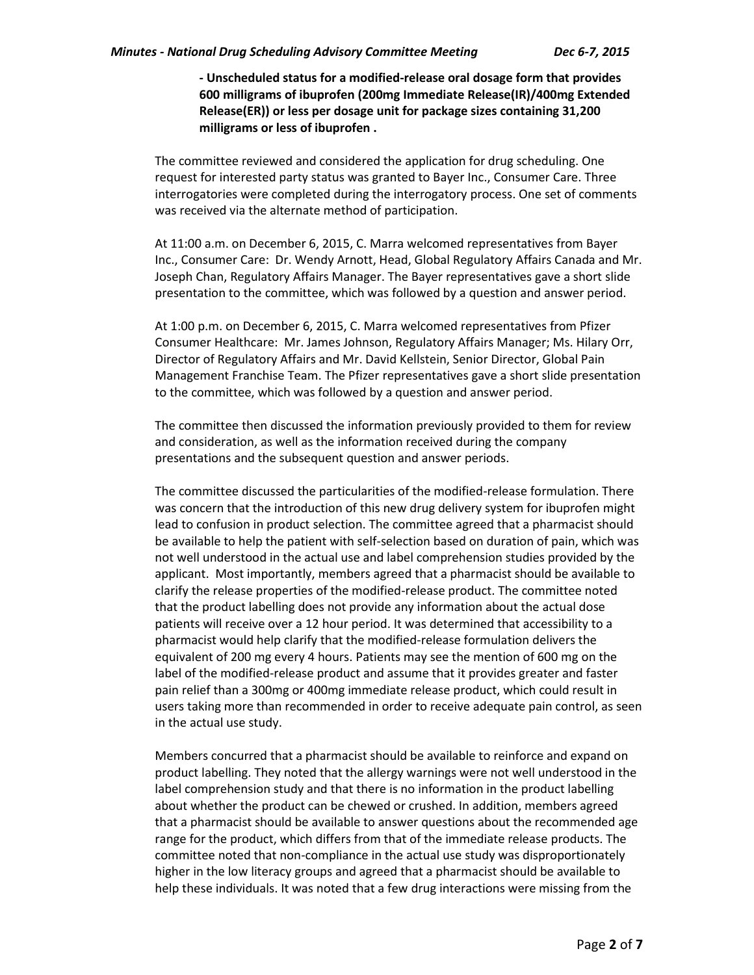**- Unscheduled status for a modified-release oral dosage form that provides 600 milligrams of ibuprofen (200mg Immediate Release(IR)/400mg Extended Release(ER)) or less per dosage unit for package sizes containing 31,200 milligrams or less of ibuprofen .**

The committee reviewed and considered the application for drug scheduling. One request for interested party status was granted to Bayer Inc., Consumer Care. Three interrogatories were completed during the interrogatory process. One set of comments was received via the alternate method of participation.

At 11:00 a.m. on December 6, 2015, C. Marra welcomed representatives from Bayer Inc., Consumer Care: Dr. Wendy Arnott, Head, Global Regulatory Affairs Canada and Mr. Joseph Chan, Regulatory Affairs Manager. The Bayer representatives gave a short slide presentation to the committee, which was followed by a question and answer period.

At 1:00 p.m. on December 6, 2015, C. Marra welcomed representatives from Pfizer Consumer Healthcare: Mr. James Johnson, Regulatory Affairs Manager; Ms. Hilary Orr, Director of Regulatory Affairs and Mr. David Kellstein, Senior Director, Global Pain Management Franchise Team. The Pfizer representatives gave a short slide presentation to the committee, which was followed by a question and answer period.

The committee then discussed the information previously provided to them for review and consideration, as well as the information received during the company presentations and the subsequent question and answer periods.

The committee discussed the particularities of the modified-release formulation. There was concern that the introduction of this new drug delivery system for ibuprofen might lead to confusion in product selection. The committee agreed that a pharmacist should be available to help the patient with self-selection based on duration of pain, which was not well understood in the actual use and label comprehension studies provided by the applicant. Most importantly, members agreed that a pharmacist should be available to clarify the release properties of the modified-release product. The committee noted that the product labelling does not provide any information about the actual dose patients will receive over a 12 hour period. It was determined that accessibility to a pharmacist would help clarify that the modified-release formulation delivers the equivalent of 200 mg every 4 hours. Patients may see the mention of 600 mg on the label of the modified-release product and assume that it provides greater and faster pain relief than a 300mg or 400mg immediate release product, which could result in users taking more than recommended in order to receive adequate pain control, as seen in the actual use study.

Members concurred that a pharmacist should be available to reinforce and expand on product labelling. They noted that the allergy warnings were not well understood in the label comprehension study and that there is no information in the product labelling about whether the product can be chewed or crushed. In addition, members agreed that a pharmacist should be available to answer questions about the recommended age range for the product, which differs from that of the immediate release products. The committee noted that non-compliance in the actual use study was disproportionately higher in the low literacy groups and agreed that a pharmacist should be available to help these individuals. It was noted that a few drug interactions were missing from the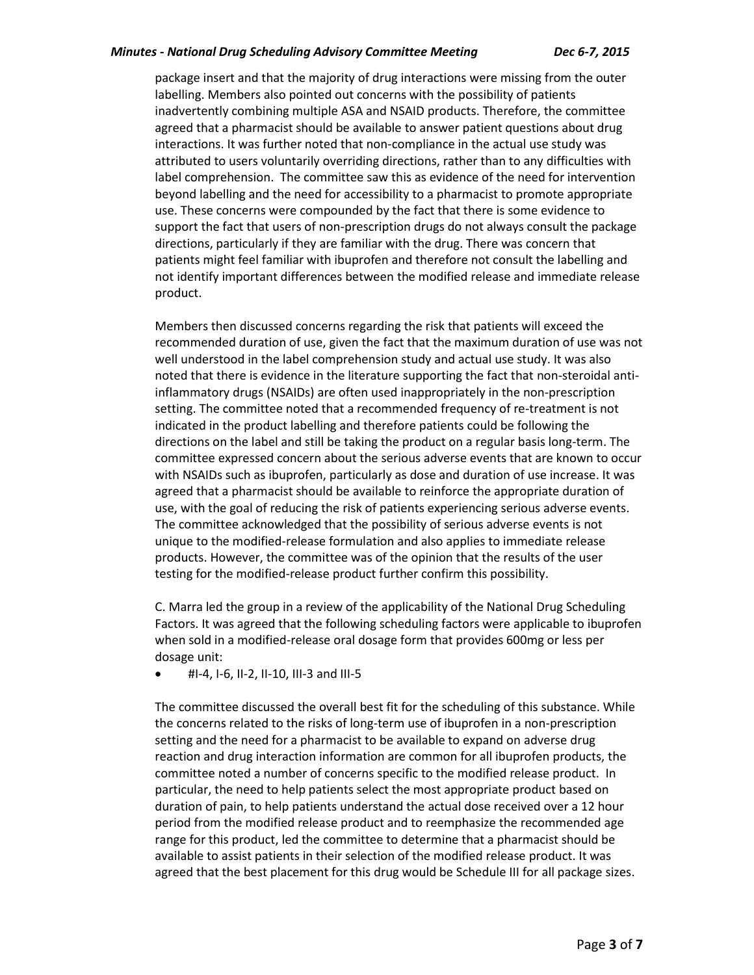### *Minutes - National Drug Scheduling Advisory Committee Meeting Dec 6-7, 2015*

package insert and that the majority of drug interactions were missing from the outer labelling. Members also pointed out concerns with the possibility of patients inadvertently combining multiple ASA and NSAID products. Therefore, the committee agreed that a pharmacist should be available to answer patient questions about drug interactions. It was further noted that non-compliance in the actual use study was attributed to users voluntarily overriding directions, rather than to any difficulties with label comprehension. The committee saw this as evidence of the need for intervention beyond labelling and the need for accessibility to a pharmacist to promote appropriate use. These concerns were compounded by the fact that there is some evidence to support the fact that users of non-prescription drugs do not always consult the package directions, particularly if they are familiar with the drug. There was concern that patients might feel familiar with ibuprofen and therefore not consult the labelling and not identify important differences between the modified release and immediate release product.

Members then discussed concerns regarding the risk that patients will exceed the recommended duration of use, given the fact that the maximum duration of use was not well understood in the label comprehension study and actual use study. It was also noted that there is evidence in the literature supporting the fact that non-steroidal antiinflammatory drugs (NSAIDs) are often used inappropriately in the non-prescription setting. The committee noted that a recommended frequency of re-treatment is not indicated in the product labelling and therefore patients could be following the directions on the label and still be taking the product on a regular basis long-term. The committee expressed concern about the serious adverse events that are known to occur with NSAIDs such as ibuprofen, particularly as dose and duration of use increase. It was agreed that a pharmacist should be available to reinforce the appropriate duration of use, with the goal of reducing the risk of patients experiencing serious adverse events. The committee acknowledged that the possibility of serious adverse events is not unique to the modified-release formulation and also applies to immediate release products. However, the committee was of the opinion that the results of the user testing for the modified-release product further confirm this possibility.

C. Marra led the group in a review of the applicability of the National Drug Scheduling Factors. It was agreed that the following scheduling factors were applicable to ibuprofen when sold in a modified-release oral dosage form that provides 600mg or less per dosage unit:

#I-4, I-6, II-2, II-10, III-3 and III-5

The committee discussed the overall best fit for the scheduling of this substance. While the concerns related to the risks of long-term use of ibuprofen in a non-prescription setting and the need for a pharmacist to be available to expand on adverse drug reaction and drug interaction information are common for all ibuprofen products, the committee noted a number of concerns specific to the modified release product. In particular, the need to help patients select the most appropriate product based on duration of pain, to help patients understand the actual dose received over a 12 hour period from the modified release product and to reemphasize the recommended age range for this product, led the committee to determine that a pharmacist should be available to assist patients in their selection of the modified release product. It was agreed that the best placement for this drug would be Schedule III for all package sizes.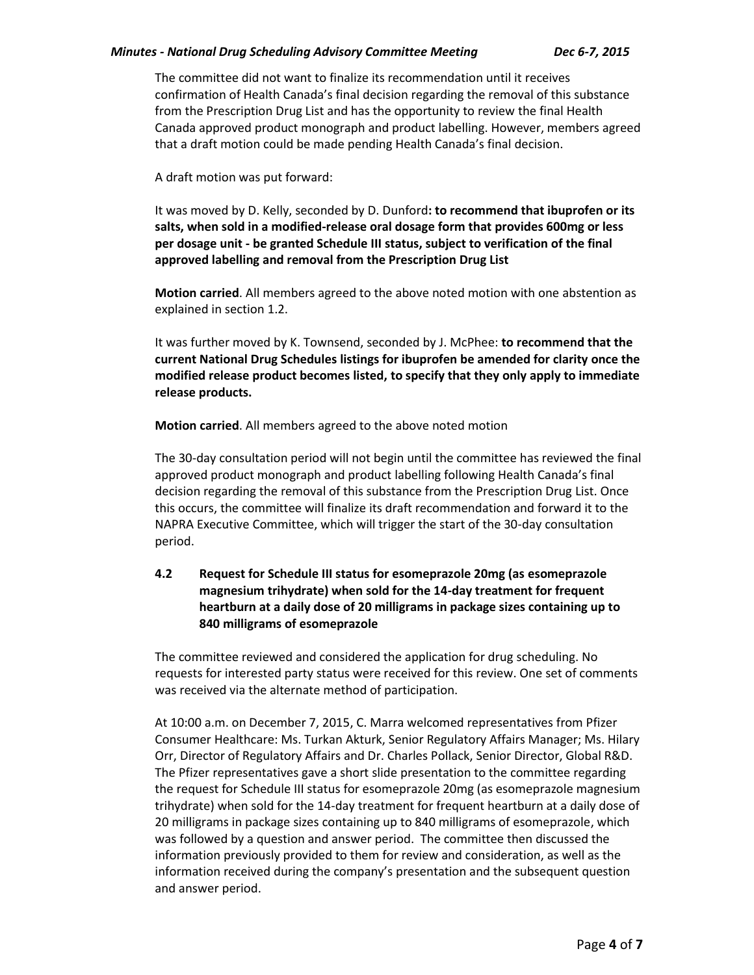### *Minutes - National Drug Scheduling Advisory Committee Meeting Dec 6-7, 2015*

The committee did not want to finalize its recommendation until it receives confirmation of Health Canada's final decision regarding the removal of this substance from the Prescription Drug List and has the opportunity to review the final Health Canada approved product monograph and product labelling. However, members agreed that a draft motion could be made pending Health Canada's final decision.

A draft motion was put forward:

It was moved by D. Kelly, seconded by D. Dunford**: to recommend that ibuprofen or its salts, when sold in a modified-release oral dosage form that provides 600mg or less per dosage unit - be granted Schedule III status, subject to verification of the final approved labelling and removal from the Prescription Drug List**

**Motion carried**. All members agreed to the above noted motion with one abstention as explained in section 1.2.

It was further moved by K. Townsend, seconded by J. McPhee: **to recommend that the current National Drug Schedules listings for ibuprofen be amended for clarity once the modified release product becomes listed, to specify that they only apply to immediate release products.**

**Motion carried**. All members agreed to the above noted motion

The 30-day consultation period will not begin until the committee has reviewed the final approved product monograph and product labelling following Health Canada's final decision regarding the removal of this substance from the Prescription Drug List. Once this occurs, the committee will finalize its draft recommendation and forward it to the NAPRA Executive Committee, which will trigger the start of the 30-day consultation period.

# **4.2 Request for Schedule III status for esomeprazole 20mg (as esomeprazole magnesium trihydrate) when sold for the 14-day treatment for frequent heartburn at a daily dose of 20 milligrams in package sizes containing up to 840 milligrams of esomeprazole**

The committee reviewed and considered the application for drug scheduling. No requests for interested party status were received for this review. One set of comments was received via the alternate method of participation.

At 10:00 a.m. on December 7, 2015, C. Marra welcomed representatives from Pfizer Consumer Healthcare: Ms. Turkan Akturk, Senior Regulatory Affairs Manager; Ms. Hilary Orr, Director of Regulatory Affairs and Dr. Charles Pollack, Senior Director, Global R&D. The Pfizer representatives gave a short slide presentation to the committee regarding the request for Schedule III status for esomeprazole 20mg (as esomeprazole magnesium trihydrate) when sold for the 14-day treatment for frequent heartburn at a daily dose of 20 milligrams in package sizes containing up to 840 milligrams of esomeprazole, which was followed by a question and answer period. The committee then discussed the information previously provided to them for review and consideration, as well as the information received during the company's presentation and the subsequent question and answer period.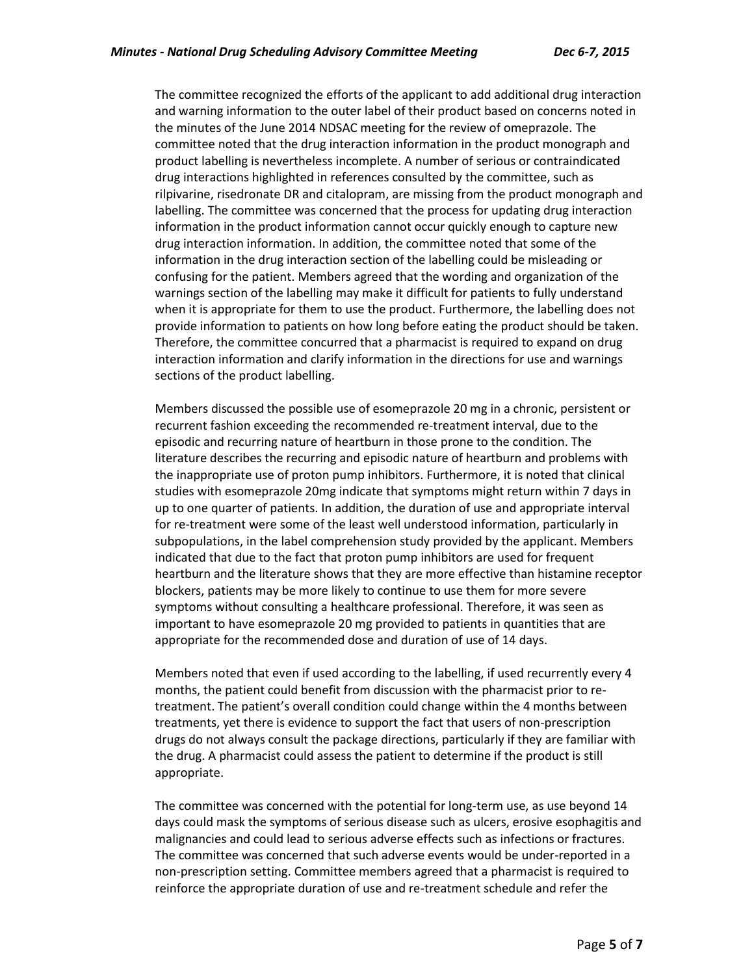The committee recognized the efforts of the applicant to add additional drug interaction and warning information to the outer label of their product based on concerns noted in the minutes of the June 2014 NDSAC meeting for the review of omeprazole. The committee noted that the drug interaction information in the product monograph and product labelling is nevertheless incomplete. A number of serious or contraindicated drug interactions highlighted in references consulted by the committee, such as rilpivarine, risedronate DR and citalopram, are missing from the product monograph and labelling. The committee was concerned that the process for updating drug interaction information in the product information cannot occur quickly enough to capture new drug interaction information. In addition, the committee noted that some of the information in the drug interaction section of the labelling could be misleading or confusing for the patient. Members agreed that the wording and organization of the warnings section of the labelling may make it difficult for patients to fully understand when it is appropriate for them to use the product. Furthermore, the labelling does not provide information to patients on how long before eating the product should be taken. Therefore, the committee concurred that a pharmacist is required to expand on drug interaction information and clarify information in the directions for use and warnings sections of the product labelling.

Members discussed the possible use of esomeprazole 20 mg in a chronic, persistent or recurrent fashion exceeding the recommended re-treatment interval, due to the episodic and recurring nature of heartburn in those prone to the condition. The literature describes the recurring and episodic nature of heartburn and problems with the inappropriate use of proton pump inhibitors. Furthermore, it is noted that clinical studies with esomeprazole 20mg indicate that symptoms might return within 7 days in up to one quarter of patients. In addition, the duration of use and appropriate interval for re-treatment were some of the least well understood information, particularly in subpopulations, in the label comprehension study provided by the applicant. Members indicated that due to the fact that proton pump inhibitors are used for frequent heartburn and the literature shows that they are more effective than histamine receptor blockers, patients may be more likely to continue to use them for more severe symptoms without consulting a healthcare professional. Therefore, it was seen as important to have esomeprazole 20 mg provided to patients in quantities that are appropriate for the recommended dose and duration of use of 14 days.

Members noted that even if used according to the labelling, if used recurrently every 4 months, the patient could benefit from discussion with the pharmacist prior to retreatment. The patient's overall condition could change within the 4 months between treatments, yet there is evidence to support the fact that users of non-prescription drugs do not always consult the package directions, particularly if they are familiar with the drug. A pharmacist could assess the patient to determine if the product is still appropriate.

The committee was concerned with the potential for long-term use, as use beyond 14 days could mask the symptoms of serious disease such as ulcers, erosive esophagitis and malignancies and could lead to serious adverse effects such as infections or fractures. The committee was concerned that such adverse events would be under-reported in a non-prescription setting. Committee members agreed that a pharmacist is required to reinforce the appropriate duration of use and re-treatment schedule and refer the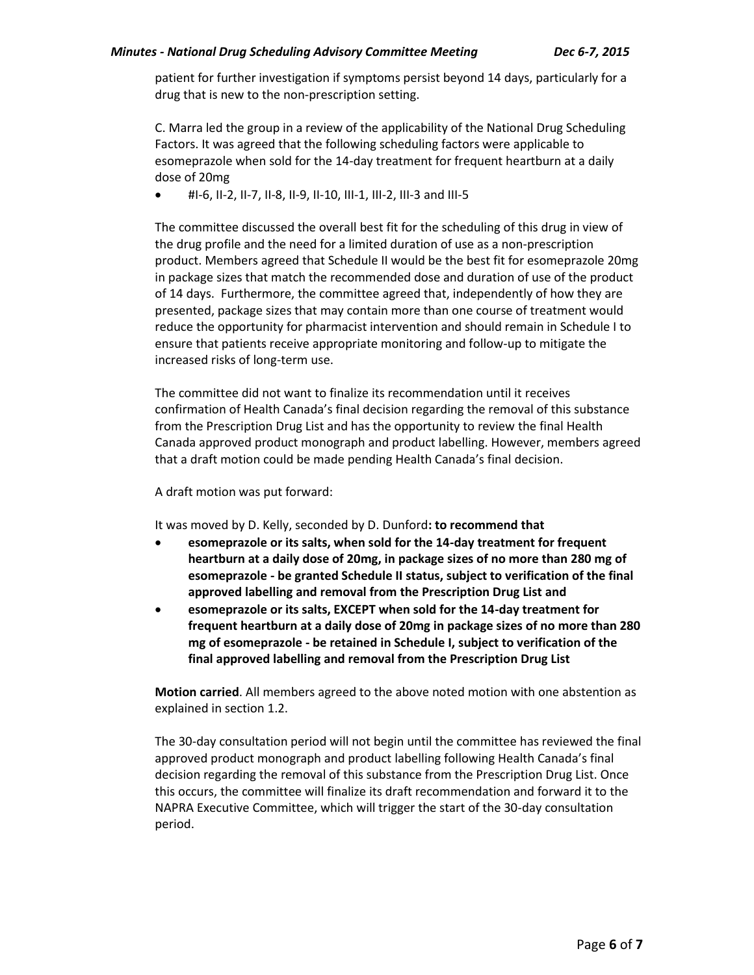patient for further investigation if symptoms persist beyond 14 days, particularly for a drug that is new to the non-prescription setting.

C. Marra led the group in a review of the applicability of the National Drug Scheduling Factors. It was agreed that the following scheduling factors were applicable to esomeprazole when sold for the 14-day treatment for frequent heartburn at a daily dose of 20mg

#I-6, II-2, II-7, II-8, II-9, II-10, III-1, III-2, III-3 and III-5

The committee discussed the overall best fit for the scheduling of this drug in view of the drug profile and the need for a limited duration of use as a non-prescription product. Members agreed that Schedule II would be the best fit for esomeprazole 20mg in package sizes that match the recommended dose and duration of use of the product of 14 days. Furthermore, the committee agreed that, independently of how they are presented, package sizes that may contain more than one course of treatment would reduce the opportunity for pharmacist intervention and should remain in Schedule I to ensure that patients receive appropriate monitoring and follow-up to mitigate the increased risks of long-term use.

The committee did not want to finalize its recommendation until it receives confirmation of Health Canada's final decision regarding the removal of this substance from the Prescription Drug List and has the opportunity to review the final Health Canada approved product monograph and product labelling. However, members agreed that a draft motion could be made pending Health Canada's final decision.

A draft motion was put forward:

It was moved by D. Kelly, seconded by D. Dunford**: to recommend that** 

- **esomeprazole or its salts, when sold for the 14-day treatment for frequent heartburn at a daily dose of 20mg, in package sizes of no more than 280 mg of esomeprazole - be granted Schedule II status, subject to verification of the final approved labelling and removal from the Prescription Drug List and**
- **esomeprazole or its salts, EXCEPT when sold for the 14-day treatment for frequent heartburn at a daily dose of 20mg in package sizes of no more than 280 mg of esomeprazole - be retained in Schedule I, subject to verification of the final approved labelling and removal from the Prescription Drug List**

**Motion carried**. All members agreed to the above noted motion with one abstention as explained in section 1.2.

The 30-day consultation period will not begin until the committee has reviewed the final approved product monograph and product labelling following Health Canada's final decision regarding the removal of this substance from the Prescription Drug List. Once this occurs, the committee will finalize its draft recommendation and forward it to the NAPRA Executive Committee, which will trigger the start of the 30-day consultation period.